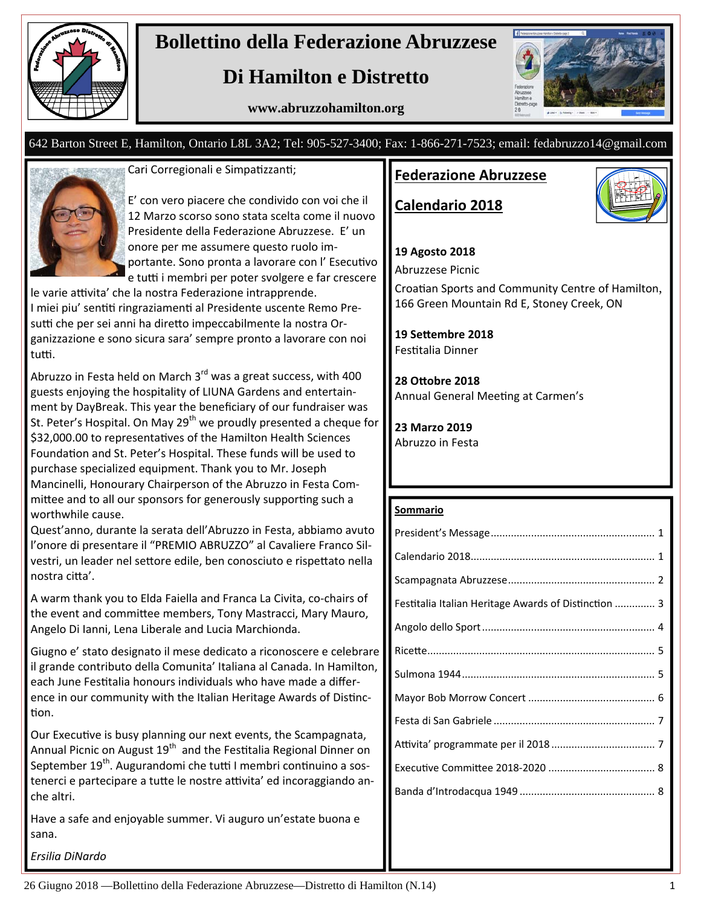

# **Bollettino della Federazione Abruzzese**

# **Di Hamilton e Distretto**

**www.abruzzohamilton.org** 



#### 642 Barton Street E, Hamilton, Ontario L8L 3A2; Tel: 905-527-3400; Fax: 1-866-271-7523; email: fedabruzzo14@gmail.com



Cari Corregionali e Simpatizzanti;

E' con vero piacere che condivido con voi che il 12 Marzo scorso sono stata scelta come il nuovo Presidente della Federazione Abruzzese. E' un onore per me assumere questo ruolo im‐ portante. Sono pronta a lavorare con l'Esecutivo e tutti i membri per poter svolgere e far crescere

le varie attivita' che la nostra Federazione intrapprende. I miei piu' sentiti ringraziamenti al Presidente uscente Remo Presutti che per sei anni ha diretto impeccabilmente la nostra Organizzazione e sono sicura sara' sempre pronto a lavorare con noi tutti.

Abruzzo in Festa held on March  $3<sup>rd</sup>$  was a great success, with 400 guests enjoying the hospitality of LIUNA Gardens and entertain‐ ment by DayBreak. This year the beneficiary of our fundraiser was St. Peter's Hospital. On May 29<sup>th</sup> we proudly presented a cheque for \$32,000.00 to representatives of the Hamilton Health Sciences Foundation and St. Peter's Hospital. These funds will be used to purchase specialized equipment. Thank you to Mr. Joseph Mancinelli, Honourary Chairperson of the Abruzzo in Festa Com‐ mittee and to all our sponsors for generously supporting such a worthwhile cause.

Quest'anno, durante la serata dell'Abruzzo in Festa, abbiamo avuto l'onore di presentare il "PREMIO ABRUZZO" al Cavaliere Franco Sil‐ vestri, un leader nel settore edile, ben conosciuto e rispettato nella nostra citta'.

A warm thank you to Elda Faiella and Franca La Civita, co‐chairs of the event and committee members, Tony Mastracci, Mary Mauro, Angelo Di Ianni, Lena Liberale and Lucia Marchionda.

Giugno e' stato designato il mese dedicato a riconoscere e celebrare il grande contributo della Comunita' Italiana al Canada. In Hamilton, each June Festitalia honours individuals who have made a difference in our community with the Italian Heritage Awards of Distinction.

Our Executive is busy planning our next events, the Scampagnata, Annual Picnic on August 19<sup>th</sup> and the Festitalia Regional Dinner on September 19<sup>th</sup>. Augurandomi che tutti I membri continuino a sostenerci e partecipare a tutte le nostre attivita' ed incoraggiando anche altri.

Have a safe and enjoyable summer. Vi auguro un'estate buona e sana.

*Ersilia DiNardo*

### **Federazione Abruzzese**

**Calendario 2018**



#### **19 Agosto 2018**

Abruzzese Picnic

Croatian Sports and Community Centre of Hamilton, 166 Green Mountain Rd E, Stoney Creek, ON

**19 SeƩembre 2018** Festitalia Dinner

**28 OƩobre 2018** Annual General Meeting at Carmen's

**23 Marzo 2019** Abruzzo in Festa

#### **Sommario**

| Festitalia Italian Heritage Awards of Distinction  3 |  |
|------------------------------------------------------|--|
|                                                      |  |
|                                                      |  |
|                                                      |  |
|                                                      |  |
|                                                      |  |
|                                                      |  |
|                                                      |  |
|                                                      |  |
|                                                      |  |

26 Giugno 2018 —Bollettino della Federazione Abruzzese—Distretto di Hamilton (N.14) 1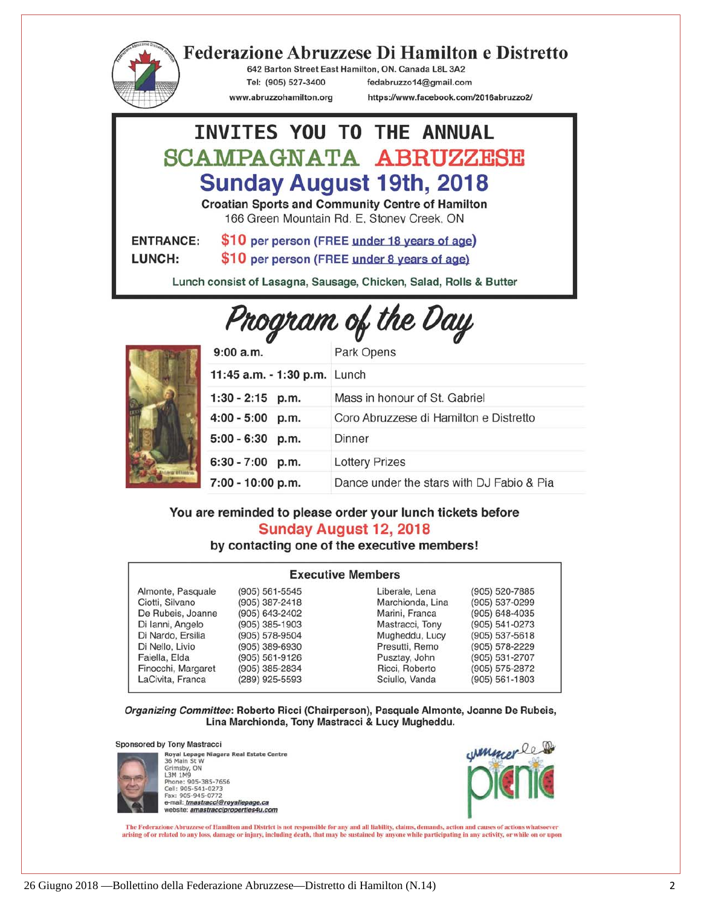

## **Federazione Abruzzese Di Hamilton e Distretto**

642 Barton Street East Hamilton, ON. Canada L8L 3A2 Tel: (905) 527-3400

www.abruzzohamilton.org

fedabruzzo14@gmail.com

https://www.facebook.com/2016abruzzo2/

#### INVITES YOU TO THE ANNUAL SCAMPAGNATA ABRUZZESE **Sunday August 19th, 2018 Croatian Sports and Community Centre of Hamilton** 166 Green Mountain Rd. E. Stoney Creek, ON \$10 per person (FREE under 18 years of age) **ENTRANCE:** LUNCH: \$10 per person (FREE under 8 years of age)

Lunch consist of Lasagna, Sausage, Chicken, Salad, Rolls & Butter

# Program of the Day



| 9:00 a.m.                    | Park Opens                                |
|------------------------------|-------------------------------------------|
| 11:45 a.m. - 1:30 p.m. Lunch |                                           |
| $1:30 - 2:15$ p.m.           | Mass in honour of St. Gabriel             |
| 4:00 - 5:00 p.m.             | Coro Abruzzese di Hamilton e Distretto    |
| 5:00 - 6:30 p.m.             | Dinner                                    |
| $6:30 - 7:00$ p.m.           | <b>Lottery Prizes</b>                     |
| 7:00 - 10:00 p.m.            | Dance under the stars with DJ Fabio & Pia |

#### You are reminded to please order your lunch tickets before Sunday August 12, 2018

#### by contacting one of the executive members!

#### **Executive Members** Almonte, Pasquale  $(905) 561 - 5545$ Liberale, Lena (905) 520-7885 (905) 387-2418 Marchionda, Lina Ciotti, Silvano (905) 537-0299 (905) 643-2402 (905) 648-4035 De Rubeis, Joanne Marini, Franca  $(905)$  385-1903 Di Ianni, Angelo Mastracci, Tony (905) 541-0273  $(905) 578 - 9504$ Mugheddu, Lucy  $(905) 537 - 5618$ Di Nardo, Ersilia Di Nello, Livio (905) 389-6930 Presutti, Remo (905) 578-2229 Faiella, Elda (905) 561-9126 Pusztay, John (905) 531-2707 Finocchi, Margaret (905) 385-2834 Ricci, Roberto (905) 575-2872 LaCivita, Franca (289) 925-5593 Sciullo, Vanda  $(905) 561 - 1803$

Organizing Committee: Roberto Ricci (Chairperson), Pasquale Almonte, Joanne De Rubeis, Lina Marchionda, Tony Mastracci & Lucy Mugheddu.

#### **Sponsored by Tony Mastracci**



Royal Lepage Niagara Real Estate Centre<br>36 Main St W Grimsby, ON<br>L3M 1M9 Phone: 905-385-7656<br>Cell: 905-541-0273<br>Fax: 905-945-0772 e-mail: *tmastracci@royallepage.ca*<br>website: amastracciproperties4u.com



The Federazione Abruzzese of Hamilton and District is not responsible for any and all liability, claims, demands, action and causes of actions whatsoever arising of or related to any loss, damage or injury, including death, that may be sustained by anyone while participating in any activity, or while on or upon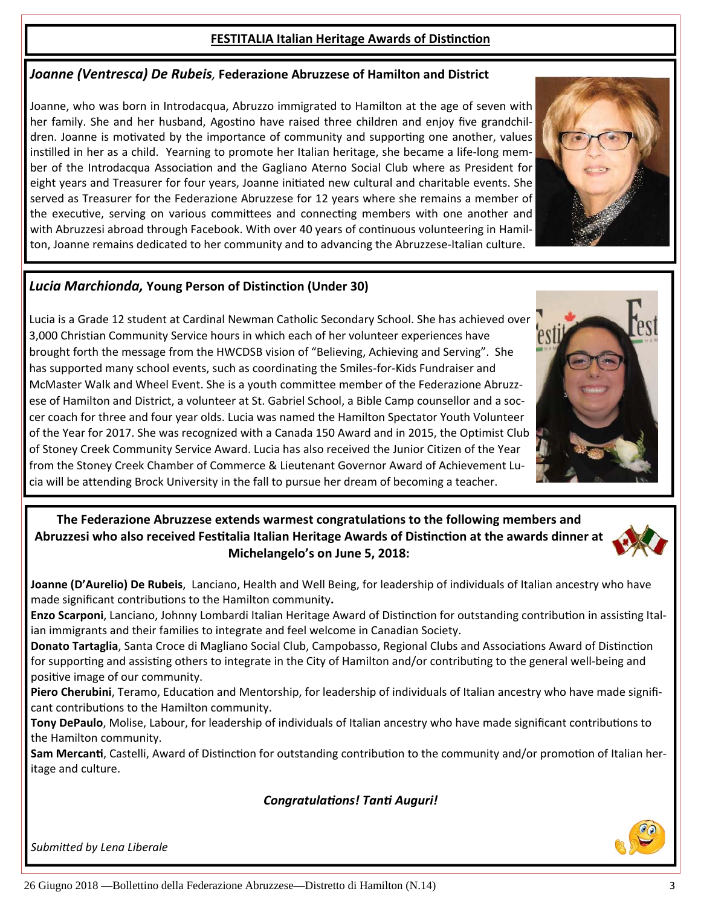of Stoney Creek Community Service Award. Lucia has also received the Junior Citizen of the Year from the Stoney Creek Chamber of Commerce & Lieutenant Governor Award of Achievement Lu‐ cia will be attending Brock University in the fall to pursue her dream of becoming a teacher.

#### **The Federazione Abruzzese extends warmest congratulaƟons to the following members and** Abruzzesi who also received Festitalia Italian Heritage Awards of Distinction at the awards dinner at **Michelangelo's on June 5, 2018:**

**Joanne (D'Aurelio) De Rubeis**, Lanciano, Health and Well Being, for leadership of individuals of Italian ancestry who have made significant contributions to the Hamilton community.

Enzo Scarponi, Lanciano, Johnny Lombardi Italian Heritage Award of Distinction for outstanding contribution in assisting Italian immigrants and their families to integrate and feel welcome in Canadian Society.

**Donato Tartaglia**, Santa Croce di Magliano Social Club, Campobasso, Regional Clubs and Associations Award of Distinction for supporting and assisting others to integrate in the City of Hamilton and/or contributing to the general well-being and positive image of our community.

Piero Cherubini, Teramo, Education and Mentorship, for leadership of individuals of Italian ancestry who have made significant contributions to the Hamilton community.

Tony DePaulo, Molise, Labour, for leadership of individuals of Italian ancestry who have made significant contributions to the Hamilton community.

Sam Mercanti, Castelli, Award of Distinction for outstanding contribution to the community and/or promotion of Italian heritage and culture.

#### *CongratulaƟons! TanƟ Auguri!*

*SubmiƩed by Lena Liberale*

#### **FESTITALIA Italian Heritage Awards of Distinction**

# *Joanne (Ventresca) De Rubeis,* **Federazione Abruzzese of Hamilton and District**

Joanne, who was born in Introdacqua, Abruzzo immigrated to Hamilton at the age of seven with her family. She and her husband, Agostino have raised three children and enjoy five grandchildren. Joanne is motivated by the importance of community and supporting one another, values instilled in her as a child. Yearning to promote her Italian heritage, she became a life-long member of the Introdacqua Association and the Gagliano Aterno Social Club where as President for eight years and Treasurer for four years, Joanne initiated new cultural and charitable events. She served as Treasurer for the Federazione Abruzzese for 12 years where she remains a member of the executive, serving on various committees and connecting members with one another and with Abruzzesi abroad through Facebook. With over 40 years of continuous volunteering in Hamilton, Joanne remains dedicated to her community and to advancing the Abruzzese‐Italian culture.

#### *Lucia Marchionda,* **Young Person of Distinction (Under 30)**

3,000 Christian Community Service hours in which each of her volunteer experiences have brought forth the message from the HWCDSB vision of "Believing, Achieving and Serving". She has supported many school events, such as coordinating the Smiles-for-Kids Fundraiser and McMaster Walk and Wheel Event. She is a youth committee member of the Federazione Abruzz‐ ese of Hamilton and District, a volunteer at St. Gabriel School, a Bible Camp counsellor and a soc‐ cer coach for three and four year olds. Lucia was named the Hamilton Spectator Youth Volunteer of the Year for 2017. She was recognized with a Canada 150 Award and in 2015, the Optimist Club



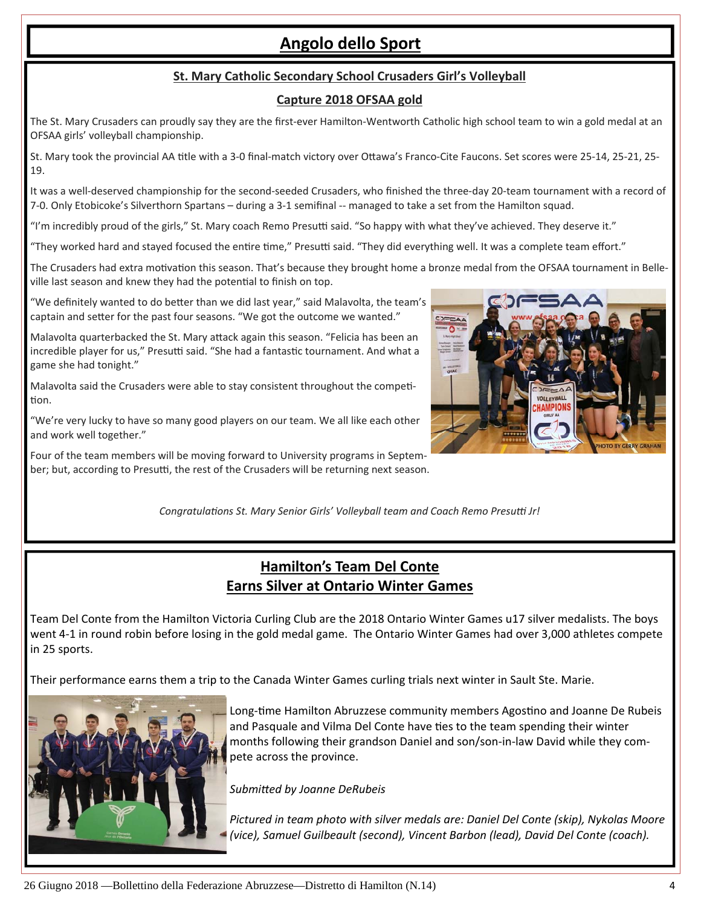# **Angolo dello Sport**

#### **St. Mary Catholic Secondary School Crusaders Girl's Volleyball**

#### **Capture 2018 OFSAA gold**

The St. Mary Crusaders can proudly say they are the first-ever Hamilton-Wentworth Catholic high school team to win a gold medal at an OFSAA girls' volleyball championship.

St. Mary took the provincial AA title with a 3-0 final-match victory over Ottawa's Franco-Cite Faucons. Set scores were 25-14, 25-21, 25-19.

It was a well-deserved championship for the second-seeded Crusaders, who finished the three-day 20-team tournament with a record of 7‐0. Only Etobicoke's Silverthorn Spartans – during a 3‐1 semifinal ‐‐ managed to take a set from the Hamilton squad.

"I'm incredibly proud of the girls," St. Mary coach Remo Presutti said. "So happy with what they've achieved. They deserve it."

"They worked hard and stayed focused the entire time," Presutti said. "They did everything well. It was a complete team effort."

The Crusaders had extra motivation this season. That's because they brought home a bronze medal from the OFSAA tournament in Belleville last season and knew they had the potential to finish on top.

"We definitely wanted to do better than we did last year," said Malavolta, the team's captain and setter for the past four seasons. "We got the outcome we wanted."

Malavolta quarterbacked the St. Mary attack again this season. "Felicia has been an incredible player for us," Presutti said. "She had a fantastic tournament. And what a game she had tonight."

Malavolta said the Crusaders were able to stay consistent throughout the competition.

"We're very lucky to have so many good players on our team. We all like each other and work well together."

Four of the team members will be moving forward to University programs in Septem‐ ber; but, according to Presutti, the rest of the Crusaders will be returning next season.



*CongratulaƟons St. Mary Senior Girls' Volleyball team and Coach Remo Presuƫ Jr!*

#### **Hamilton's Team Del Conte Earns Silver at Ontario Winter Games**

Team Del Conte from the Hamilton Victoria Curling Club are the 2018 Ontario Winter Games u17 silver medalists. The boys went 4‐1 in round robin before losing in the gold medal game. The Ontario Winter Games had over 3,000 athletes compete in 25 sports.

Their performance earns them a trip to the Canada Winter Games curling trials next winter in Sault Ste. Marie.



Long-time Hamilton Abruzzese community members Agostino and Joanne De Rubeis and Pasquale and Vilma Del Conte have ties to the team spending their winter months following their grandson Daniel and son/son‐in‐law David while they com‐ pete across the province.

*SubmiƩed by Joanne DeRubeis*

*Pictured in team photo with silver medals are: Daniel Del Conte (skip), Nykolas Moore (vice), Samuel Guilbeault (second), Vincent Barbon (lead), David Del Conte (coach).*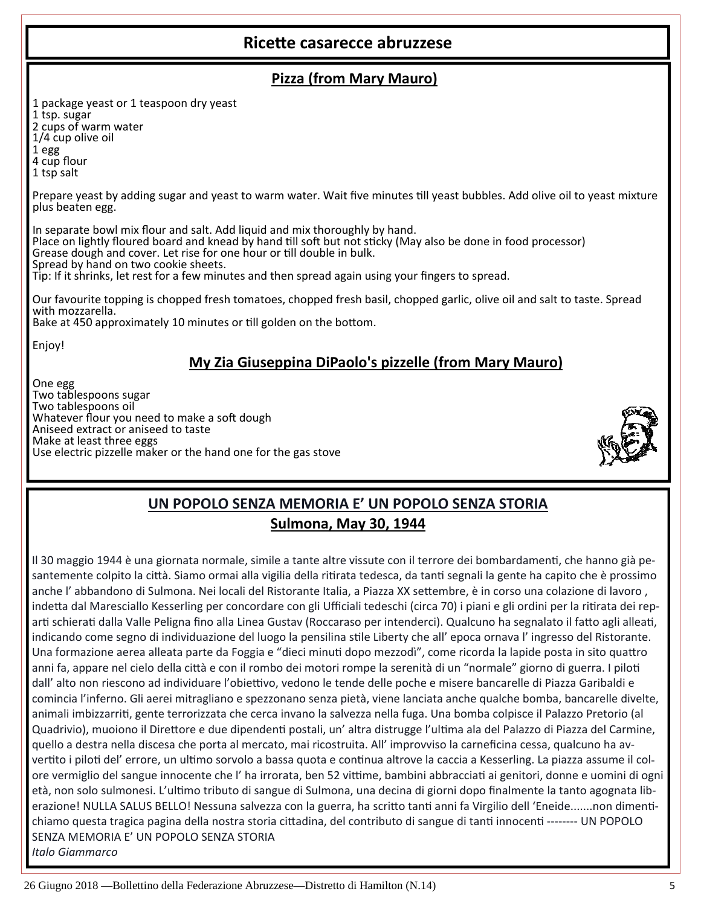# **RiceƩe casarecce abruzzese**

#### **Pizza (from Mary Mauro)**

1 package yeast or 1 teaspoon dry yeast

1 tsp. sugar

2 cups of warm water

1/4 cup olive oil

1 egg 4 cup flour

<sup>1</sup> tsp salt

Prepare yeast by adding sugar and yeast to warm water. Wait five minutes till yeast bubbles. Add olive oil to yeast mixture

plus beaten egg.<br>In separate bowl mix flour and salt. Add liquid and mix thoroughly by hand. Place on lightly floured board and knead by hand till soft but not sticky (May also be done in food processor) Grease dough and cover. Let rise for one hour or till double in bulk. Spread by hand on two cookie sheets. Tip: If it shrinks, let rest for a few minutes and then spread again using your fingers to spread.

Our favourite topping is chopped fresh tomatoes, chopped fresh basil, chopped garlic, olive oil and salt to taste. Spread with mozzarella.

Bake at 450 approximately 10 minutes or till golden on the bottom.

Enjoy!

# **My Zia Giuseppina DiPaolo's pizzelle (from Mary Mauro)**

One egg Two tablespoons sugar Two tablespoons oil Whatever flour you need to make a soft dough Aniseed extract or aniseed to taste Make at least three eggs Use electric pizzelle maker or the hand one for the gas stove



# **UN POPOLO SENZA MEMORIA E' UN POPOLO SENZA STORIA Sulmona, May 30, 1944**

Il 30 maggio 1944 è una giornata normale, simile a tante altre vissute con il terrore dei bombardamenti, che hanno già pesantemente colpito la città. Siamo ormai alla vigilia della ritirata tedesca, da tanti segnali la gente ha capito che è prossimo anche l'abbandono di Sulmona. Nei locali del Ristorante Italia, a Piazza XX settembre, è in corso una colazione di lavoro, indetta dal Maresciallo Kesserling per concordare con gli Ufficiali tedeschi (circa 70) i piani e gli ordini per la ritirata dei reparti schierati dalla Valle Peligna fino alla Linea Gustav (Roccaraso per intenderci). Qualcuno ha segnalato il fatto agli alleati, indicando come segno di individuazione del luogo la pensilina stile Liberty che all'epoca ornava l'ingresso del Ristorante. Una formazione aerea alleata parte da Foggia e "dieci minuti dopo mezzodì", come ricorda la lapide posta in sito quattro anni fa, appare nel cielo della città e con il rombo dei motori rompe la serenità di un "normale" giorno di guerra. I piloti dall' alto non riescono ad individuare l'obiettivo, vedono le tende delle poche e misere bancarelle di Piazza Garibaldi e comincia l'inferno. Gli aerei mitragliano e spezzonano senza pietà, viene lanciata anche qualche bomba, bancarelle divelte, animali imbizzarriti, gente terrorizzata che cerca invano la salvezza nella fuga. Una bomba colpisce il Palazzo Pretorio (al Quadrivio), muoiono il Direttore e due dipendenti postali, un' altra distrugge l'ultima ala del Palazzo di Piazza del Carmine, quello a destra nella discesa che porta al mercato, mai ricostruita. All' improvviso la carneficina cessa, qualcuno ha av‐ vertito i piloti del' errore, un ultimo sorvolo a bassa quota e continua altrove la caccia a Kesserling. La piazza assume il colore vermiglio del sangue innocente che l'ha irrorata, ben 52 vittime, bambini abbracciati ai genitori, donne e uomini di ogni età, non solo sulmonesi. L'ultimo tributo di sangue di Sulmona, una decina di giorni dopo finalmente la tanto agognata liberazione! NULLA SALUS BELLO! Nessuna salvezza con la guerra, ha scritto tanti anni fa Virgilio dell 'Eneide.......non dimentichiamo questa tragica pagina della nostra storia cittadina, del contributo di sangue di tanti innocenti -------- UN POPOLO SENZA MEMORIA E' UN POPOLO SENZA STORIA *Italo Giammarco*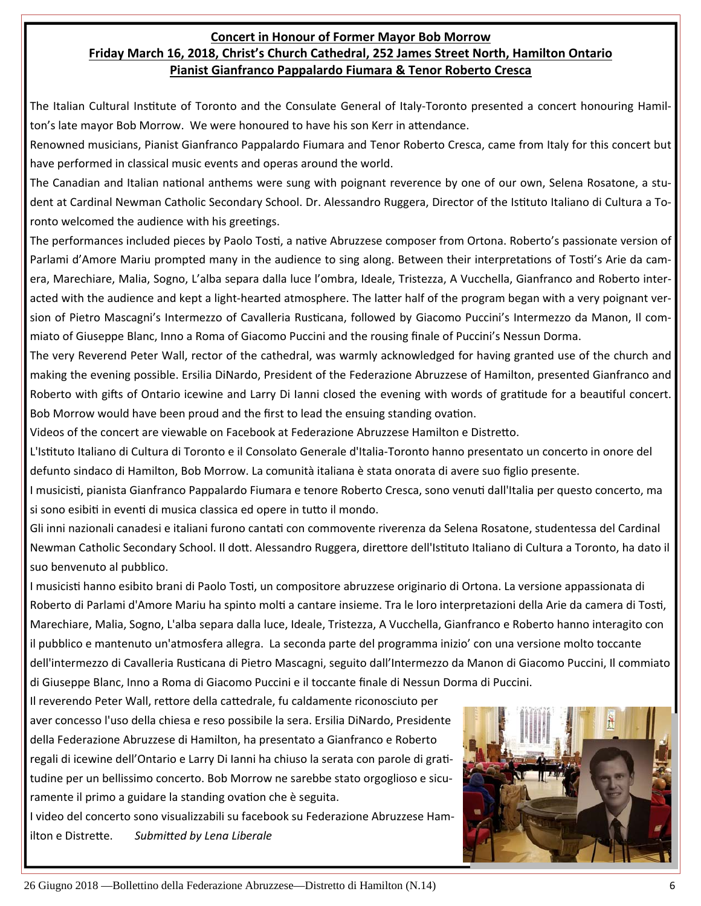#### **Concert in Honour of Former Mayor Bob Morrow Friday March 16, 2018, Christ's Church Cathedral, 252 James Street North, Hamilton Ontario Pianist Gianfranco Pappalardo Fiumara & Tenor Roberto Cresca**

The Italian Cultural Institute of Toronto and the Consulate General of Italy-Toronto presented a concert honouring Hamilton's late mayor Bob Morrow. We were honoured to have his son Kerr in attendance.

Renowned musicians, Pianist Gianfranco Pappalardo Fiumara and Tenor Roberto Cresca, came from Italy for this concert but have performed in classical music events and operas around the world.

The Canadian and Italian national anthems were sung with poignant reverence by one of our own, Selena Rosatone, a student at Cardinal Newman Catholic Secondary School. Dr. Alessandro Ruggera, Director of the Istituto Italiano di Cultura a Toronto welcomed the audience with his greetings.

The performances included pieces by Paolo Tosti, a native Abruzzese composer from Ortona. Roberto's passionate version of Parlami d'Amore Mariu prompted many in the audience to sing along. Between their interpretations of Tosti's Arie da camera, Marechiare, Malia, Sogno, L'alba separa dalla luce l'ombra, Ideale, Tristezza, A Vucchella, Gianfranco and Roberto inter‐ acted with the audience and kept a light-hearted atmosphere. The latter half of the program began with a very poignant version of Pietro Mascagni's Intermezzo of Cavalleria Rusticana, followed by Giacomo Puccini's Intermezzo da Manon, Il commiato of Giuseppe Blanc, Inno a Roma of Giacomo Puccini and the rousing finale of Puccini's Nessun Dorma.

The very Reverend Peter Wall, rector of the cathedral, was warmly acknowledged for having granted use of the church and making the evening possible. Ersilia DiNardo, President of the Federazione Abruzzese of Hamilton, presented Gianfranco and Roberto with gifts of Ontario icewine and Larry Di Ianni closed the evening with words of gratitude for a beautiful concert. Bob Morrow would have been proud and the first to lead the ensuing standing ovation.

Videos of the concert are viewable on Facebook at Federazione Abruzzese Hamilton e Distretto.

L'Istituto Italiano di Cultura di Toronto e il Consolato Generale d'Italia-Toronto hanno presentato un concerto in onore del defunto sindaco di Hamilton, Bob Morrow. La comunità italiana è stata onorata di avere suo figlio presente.

I musicisti, pianista Gianfranco Pappalardo Fiumara e tenore Roberto Cresca, sono venuti dall'Italia per questo concerto, ma si sono esibiti in eventi di musica classica ed opere in tutto il mondo.

Gli inni nazionali canadesi e italiani furono cantati con commovente riverenza da Selena Rosatone, studentessa del Cardinal Newman Catholic Secondary School. Il dott. Alessandro Ruggera, direttore dell'Istituto Italiano di Cultura a Toronto, ha dato il suo benvenuto al pubblico.

I musicisti hanno esibito brani di Paolo Tosti, un compositore abruzzese originario di Ortona. La versione appassionata di Roberto di Parlami d'Amore Mariu ha spinto molti a cantare insieme. Tra le loro interpretazioni della Arie da camera di Tosti, Marechiare, Malia, Sogno, L'alba separa dalla luce, Ideale, Tristezza, A Vucchella, Gianfranco e Roberto hanno interagito con il pubblico e mantenuto un'atmosfera allegra. La seconda parte del programma inizio' con una versione molto toccante dell'intermezzo di Cavalleria Rusticana di Pietro Mascagni, seguito dall'Intermezzo da Manon di Giacomo Puccini, Il commiato di Giuseppe Blanc, Inno a Roma di Giacomo Puccini e il toccante finale di Nessun Dorma di Puccini.

Il reverendo Peter Wall, rettore della cattedrale, fu caldamente riconosciuto per aver concesso l'uso della chiesa e reso possibile la sera. Ersilia DiNardo, Presidente della Federazione Abruzzese di Hamilton, ha presentato a Gianfranco e Roberto regali di icewine dell'Ontario e Larry Di Ianni ha chiuso la serata con parole di gratitudine per un bellissimo concerto. Bob Morrow ne sarebbe stato orgoglioso e sicu‐ ramente il primo a guidare la standing ovation che è seguita.

I video del concerto sono visualizzabili su facebook su Federazione Abruzzese Ham‐ ilton e DistreƩe. *SubmiƩed by Lena Liberale*

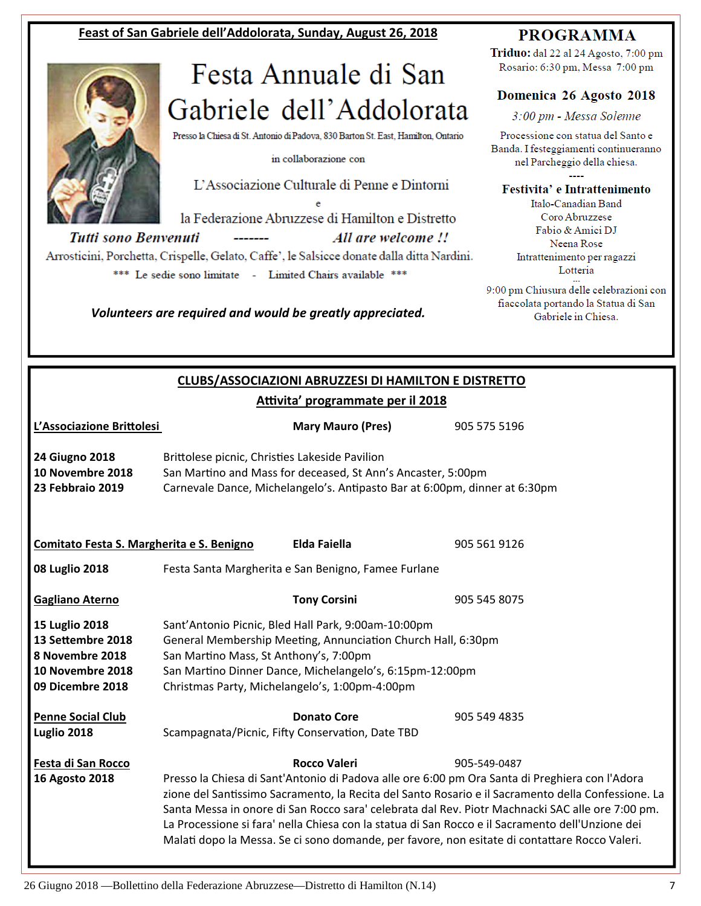#### **Feast of San Gabriele dell'Addolorata, Sunday, August 26, 2018**



# Festa Annuale di San Gabriele dell'Addolorata

Presso la Chiesa di St. Antonio di Padova, 830 Barton St. East, Hamilton, Ontario

in collaborazione con

L'Associazione Culturale di Penne e Dintorni

la Federazione Abruzzese di Hamilton e Distretto Tutti sono Benvenuti All are welcome !! Arrosticini, Porchetta, Crispelle, Gelato, Caffe', le Salsicce donate dalla ditta Nardini.

\*\*\* Le sedie sono limitate - Limited Chairs available \*\*\*

*Volunteers are required and would be greatly appreciated.* 

#### **PROGRAMMA**

Triduo: dal 22 al 24 Agosto, 7:00 pm Rosario: 6:30 pm, Messa 7:00 pm

#### Domenica 26 Agosto 2018

3:00 pm - Messa Solenne

Processione con statua del Santo e Banda. I festeggiamenti continueranno nel Parcheggio della chiesa.  $\overline{a}$ 

Festivita' e Intrattenimento

Italo-Canadian Band Coro Abruzzese Fabio & Amici DJ Neena Rose Intrattenimento per ragazzi Lotteria

9:00 pm Chiusura delle celebrazioni con fiaccolata portando la Statua di San Gabriele in Chiesa.

#### **CLUBS/ASSOCIAZIONI ABRUZZESI DI HAMILTON E DISTRETTO Aƫvita' programmate per il 2018**

| L'Associazione Brittolesi                                                                      |                                                                                                                                                                                                                                                                             | <b>Mary Mauro (Pres)</b>                                                                                                                   | 905 575 5196                                                                                                                                                                                                                                                                                                                                                                                                                                                                                                                  |
|------------------------------------------------------------------------------------------------|-----------------------------------------------------------------------------------------------------------------------------------------------------------------------------------------------------------------------------------------------------------------------------|--------------------------------------------------------------------------------------------------------------------------------------------|-------------------------------------------------------------------------------------------------------------------------------------------------------------------------------------------------------------------------------------------------------------------------------------------------------------------------------------------------------------------------------------------------------------------------------------------------------------------------------------------------------------------------------|
| <b>24 Giugno 2018</b><br>10 Novembre 2018<br>23 Febbraio 2019                                  | Brittolese picnic, Christies Lakeside Pavilion                                                                                                                                                                                                                              | San Martino and Mass for deceased, St Ann's Ancaster, 5:00pm<br>Carnevale Dance, Michelangelo's. Antipasto Bar at 6:00pm, dinner at 6:30pm |                                                                                                                                                                                                                                                                                                                                                                                                                                                                                                                               |
| Comitato Festa S. Margherita e S. Benigno                                                      |                                                                                                                                                                                                                                                                             | <b>Elda Faiella</b>                                                                                                                        | 905 561 9126                                                                                                                                                                                                                                                                                                                                                                                                                                                                                                                  |
| 08 Luglio 2018                                                                                 |                                                                                                                                                                                                                                                                             | Festa Santa Margherita e San Benigno, Famee Furlane                                                                                        |                                                                                                                                                                                                                                                                                                                                                                                                                                                                                                                               |
| Gagliano Aterno                                                                                |                                                                                                                                                                                                                                                                             | <b>Tony Corsini</b>                                                                                                                        | 905 545 8075                                                                                                                                                                                                                                                                                                                                                                                                                                                                                                                  |
| 15 Luglio 2018<br>13 Settembre 2018<br>8 Novembre 2018<br>10 Novembre 2018<br>09 Dicembre 2018 | Sant'Antonio Picnic, Bled Hall Park, 9:00am-10:00pm<br>General Membership Meeting, Annunciation Church Hall, 6:30pm<br>San Martino Mass, St Anthony's, 7:00pm<br>San Martino Dinner Dance, Michelangelo's, 6:15pm-12:00pm<br>Christmas Party, Michelangelo's, 1:00pm-4:00pm |                                                                                                                                            |                                                                                                                                                                                                                                                                                                                                                                                                                                                                                                                               |
| <b>Penne Social Club</b><br>Luglio 2018                                                        |                                                                                                                                                                                                                                                                             | <b>Donato Core</b><br>Scampagnata/Picnic, Fifty Conservation, Date TBD                                                                     | 905 549 4835                                                                                                                                                                                                                                                                                                                                                                                                                                                                                                                  |
| Festa di San Rocco<br>16 Agosto 2018                                                           |                                                                                                                                                                                                                                                                             | <b>Rocco Valeri</b>                                                                                                                        | 905-549-0487<br>Presso la Chiesa di Sant'Antonio di Padova alle ore 6:00 pm Ora Santa di Preghiera con l'Adora<br>zione del Santissimo Sacramento, la Recita del Santo Rosario e il Sacramento della Confessione. La<br>Santa Messa in onore di San Rocco sara' celebrata dal Rev. Piotr Machnacki SAC alle ore 7:00 pm.<br>La Processione si fara' nella Chiesa con la statua di San Rocco e il Sacramento dell'Unzione dei<br>Malati dopo la Messa. Se ci sono domande, per favore, non esitate di contattare Rocco Valeri. |